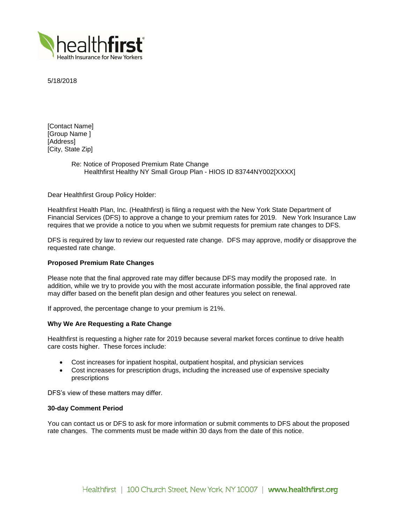

5/18/2018

[Contact Name] [Group Name ] [Address] [City, State Zip]

> Re: Notice of Proposed Premium Rate Change Healthfirst Healthy NY Small Group Plan - HIOS ID 83744NY002[XXXX]

Dear Healthfirst Group Policy Holder:

Healthfirst Health Plan, Inc. (Healthfirst) is filing a request with the New York State Department of Financial Services (DFS) to approve a change to your premium rates for 2019. New York Insurance Law requires that we provide a notice to you when we submit requests for premium rate changes to DFS.

DFS is required by law to review our requested rate change. DFS may approve, modify or disapprove the requested rate change.

# **Proposed Premium Rate Changes**

Please note that the final approved rate may differ because DFS may modify the proposed rate. In addition, while we try to provide you with the most accurate information possible, the final approved rate may differ based on the benefit plan design and other features you select on renewal.

If approved, the percentage change to your premium is 21%.

### **Why We Are Requesting a Rate Change**

Healthfirst is requesting a higher rate for 2019 because several market forces continue to drive health care costs higher. These forces include:

- Cost increases for inpatient hospital, outpatient hospital, and physician services
- Cost increases for prescription drugs, including the increased use of expensive specialty prescriptions

DFS's view of these matters may differ.

#### **30-day Comment Period**

You can contact us or DFS to ask for more information or submit comments to DFS about the proposed rate changes. The comments must be made within 30 days from the date of this notice.